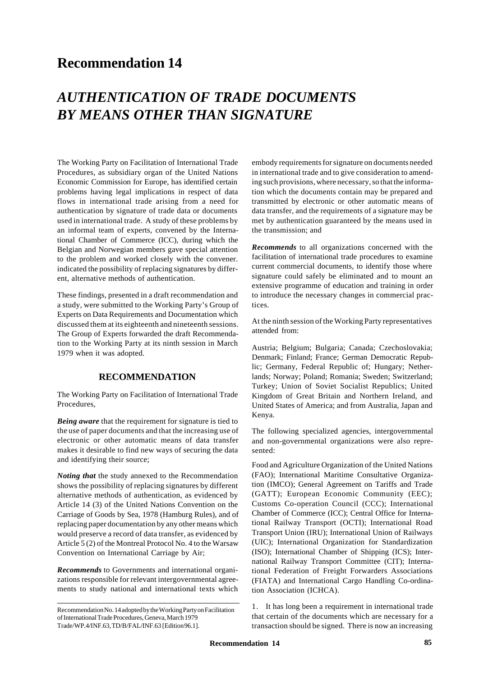# **Recommendation 14**

# *AUTHENTICATION OF TRADE DOCUMENTS BY MEANS OTHER THAN SIGNATURE*

The Working Party on Facilitation of International Trade Procedures, as subsidiary organ of the United Nations Economic Commission for Europe, has identified certain problems having legal implications in respect of data flows in international trade arising from a need for authentication by signature of trade data or documents used in international trade. A study of these problems by an informal team of experts, convened by the International Chamber of Commerce (ICC), during which the Belgian and Norwegian members gave special attention to the problem and worked closely with the convener. indicated the possibility of replacing signatures by different, alternative methods of authentication.

These findings, presented in a draft recommendation and a study, were submitted to the Working Party's Group of Experts on Data Requirements and Documentation which discussed them at its eighteenth and nineteenth sessions. The Group of Experts forwarded the draft Recommendation to the Working Party at its ninth session in March 1979 when it was adopted.

# **RECOMMENDATION**

The Working Party on Facilitation of International Trade Procedures,

*Being aware* that the requirement for signature is tied to the use of paper documents and that the increasing use of electronic or other automatic means of data transfer makes it desirable to find new ways of securing the data and identifying their source;

*Noting that* the study annexed to the Recommendation shows the possibility of replacing signatures by different alternative methods of authentication, as evidenced by Article 14 (3) of the United Nations Convention on the Carriage of Goods by Sea, 1978 (Hamburg Rules), and of replacing paper documentation by any other means which would preserve a record of data transfer, as evidenced by Article 5 (2) of the Montreal Protocol No. 4 to the Warsaw Convention on International Carriage by Air;

*Recommends* to Governments and international organizations responsible for relevant intergovernmental agreements to study national and international texts which

embody requirements for signature on documents needed in international trade and to give consideration to amending such provisions, where necessary, so that the information which the documents contain may be prepared and transmitted by electronic or other automatic means of data transfer, and the requirements of a signature may be met by authentication guaranteed by the means used in the transmission; and

*Recommends* to all organizations concerned with the facilitation of international trade procedures to examine current commercial documents, to identify those where signature could safely be eliminated and to mount an extensive programme of education and training in order to introduce the necessary changes in commercial practices.

At the ninth session of the Working Party representatives attended from:

Austria; Belgium; Bulgaria; Canada; Czechoslovakia; Denmark; Finland; France; German Democratic Republic; Germany, Federal Republic of; Hungary; Netherlands; Norway; Poland; Romania; Sweden; Switzerland; Turkey; Union of Soviet Socialist Republics; United Kingdom of Great Britain and Northern Ireland, and United States of America; and from Australia, Japan and Kenya.

The following specialized agencies, intergovernmental and non-governmental organizations were also represented:

Food and Agriculture Organization of the United Nations (FAO); International Maritime Consultative Organization (IMCO); General Agreement on Tariffs and Trade (GATT); European Economic Community (EEC); Customs Co-operation Council (CCC); International Chamber of Commerce (ICC); Central Office for International Railway Transport (OCTI); International Road Transport Union (IRU); International Union of Railways (UIC); International Organization for Standardization (ISO); International Chamber of Shipping (ICS); International Railway Transport Committee (CIT); International Federation of Freight Forwarders Associations (FIATA) and International Cargo Handling Co-ordination Association (ICHCA).

1. It has long been a requirement in international trade that certain of the documents which are necessary for a transaction should be signed. There is now an increasing

Recommendation No. 14 adopted by the Working Party on Facilitation of International Trade Procedures, Geneva, March 1979 Trade/WP.4/INF.63, TD/B/FAL/INF.63 [Edition 96.1].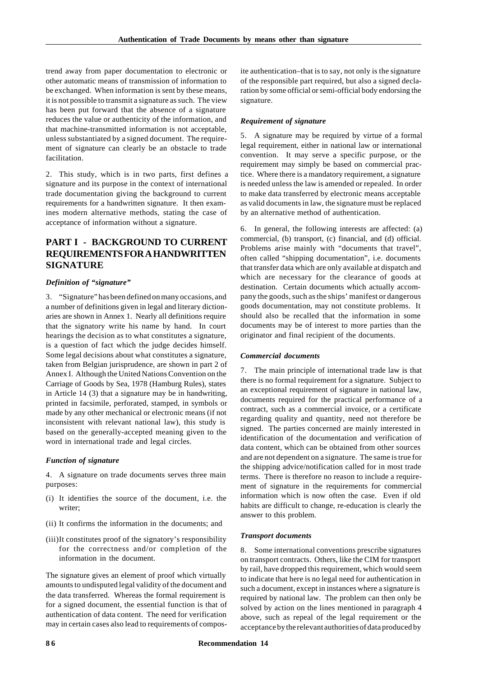trend away from paper documentation to electronic or other automatic means of transmission of information to be exchanged. When information is sent by these means, it is not possible to transmit a signature as such. The view has been put forward that the absence of a signature reduces the value or authenticity of the information, and that machine-transmitted information is not acceptable, unless substantiated by a signed document. The requirement of signature can clearly be an obstacle to trade facilitation.

2. This study, which is in two parts, first defines a signature and its purpose in the context of international trade documentation giving the background to current requirements for a handwritten signature. It then examines modern alternative methods, stating the case of acceptance of information without a signature.

# **PART I - BACKGROUND TO CURRENT REQUIREMENTS FOR A HANDWRITTEN SIGNATURE**

#### *Definition of "signature"*

3. "Signature" has been defined on many occasions, and a number of definitions given in legal and literary dictionaries are shown in Annex 1. Nearly all definitions require that the signatory write his name by hand. In court hearings the decision as to what constitutes a signature, is a question of fact which the judge decides himself. Some legal decisions about what constitutes a signature, taken from Belgian jurisprudence, are shown in part 2 of Annex I. Although the United Nations Convention on the Carriage of Goods by Sea, 1978 (Hamburg Rules), states in Article 14 (3) that a signature may be in handwriting, printed in facsimile, perforated, stamped, in symbols or made by any other mechanical or electronic means (if not inconsistent with relevant national law), this study is based on the generally-accepted meaning given to the word in international trade and legal circles.

#### *Function of signature*

4. A signature on trade documents serves three main purposes:

- (i) It identifies the source of the document, i.e. the writer;
- (ii) It confirms the information in the documents; and
- (iii)It constitutes proof of the signatory's responsibility for the correctness and/or completion of the information in the document.

The signature gives an element of proof which virtually amounts to undisputed legal validity of the document and the data transferred. Whereas the formal requirement is for a signed document, the essential function is that of authentication of data content. The need for verification may in certain cases also lead to requirements of composite authentication–that is to say, not only is the signature of the responsible part required, but also a signed declaration by some official or semi-official body endorsing the signature.

#### *Requirement of signature*

5. A signature may be required by virtue of a formal legal requirement, either in national law or international convention. It may serve a specific purpose, or the requirement may simply be based on commercial practice. Where there is a mandatory requirement, a signature is needed unless the law is amended or repealed. In order to make data transferred by electronic means acceptable as valid documents in law, the signature must be replaced by an alternative method of authentication.

6. In general, the following interests are affected: (a) commercial, (b) transport, (c) financial, and (d) official. Problems arise mainly with "documents that travel", often called "shipping documentation", i.e. documents that transfer data which are only available at dispatch and which are necessary for the clearance of goods at destination. Certain documents which actually accompany the goods, such as the ships' manifest or dangerous goods documentation, may not constitute problems. It should also be recalled that the information in some documents may be of interest to more parties than the originator and final recipient of the documents.

#### *Commercial documents*

7. The main principle of international trade law is that there is no formal requirement for a signature. Subject to an exceptional requirement of signature in national law, documents required for the practical performance of a contract, such as a commercial invoice, or a certificate regarding quality and quantity, need not therefore be signed. The parties concerned are mainly interested in identification of the documentation and verification of data content, which can be obtained from other sources and are not dependent on a signature. The same is true for the shipping advice/notification called for in most trade terms. There is therefore no reason to include a requirement of signature in the requirements for commercial information which is now often the case. Even if old habits are difficult to change, re-education is clearly the answer to this problem.

#### *Transport documents*

8. Some international conventions prescribe signatures on transport contracts. Others, like the CIM for transport by rail, have dropped this requirement, which would seem to indicate that here is no legal need for authentication in such a document, except in instances where a signature is required by national law. The problem can then only be solved by action on the lines mentioned in paragraph 4 above, such as repeal of the legal requirement or the acceptance by the relevant authorities of data produced by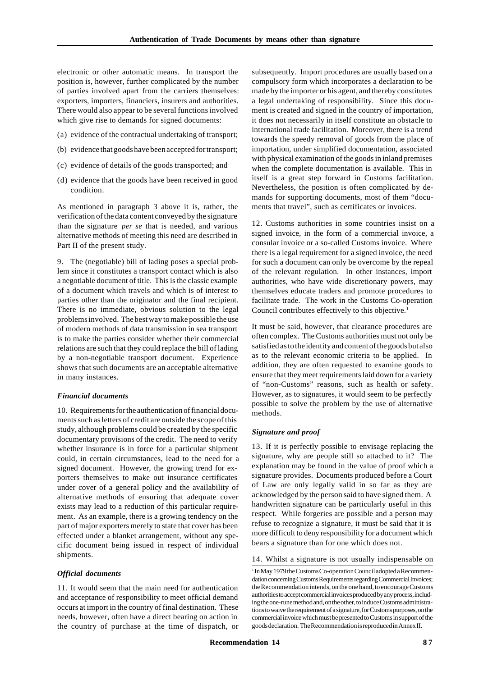electronic or other automatic means. In transport the position is, however, further complicated by the number of parties involved apart from the carriers themselves: exporters, importers, financiers, insurers and authorities. There would also appear to be several functions involved which give rise to demands for signed documents:

- (a) evidence of the contractual undertaking of transport;
- (b) evidence that goods have been accepted for transport;
- (c) evidence of details of the goods transported; and
- (d) evidence that the goods have been received in good condition.

As mentioned in paragraph 3 above it is, rather, the verification of the data content conveyed by the signature than the signature *per se* that is needed, and various alternative methods of meeting this need are described in Part II of the present study.

9. The (negotiable) bill of lading poses a special problem since it constitutes a transport contact which is also a negotiable document of title. This is the classic example of a document which travels and which is of interest to parties other than the originator and the final recipient. There is no immediate, obvious solution to the legal problems involved. The best way to make possible the use of modern methods of data transmission in sea transport is to make the parties consider whether their commercial relations are such that they could replace the bill of lading by a non-negotiable transport document. Experience shows that such documents are an acceptable alternative in many instances.

#### *Financial documents*

10. Requirements for the authentication of financial documents such as letters of credit are outside the scope of this study, although problems could be created by the specific documentary provisions of the credit. The need to verify whether insurance is in force for a particular shipment could, in certain circumstances, lead to the need for a signed document. However, the growing trend for exporters themselves to make out insurance certificates under cover of a general policy and the availability of alternative methods of ensuring that adequate cover exists may lead to a reduction of this particular requirement. As an example, there is a growing tendency on the part of major exporters merely to state that cover has been effected under a blanket arrangement, without any specific document being issued in respect of individual shipments.

#### *Official documents*

11. It would seem that the main need for authentication and acceptance of responsibility to meet official demand occurs at import in the country of final destination. These needs, however, often have a direct bearing on action in the country of purchase at the time of dispatch, or

subsequently. Import procedures are usually based on a compulsory form which incorporates a declaration to be made by the importer or his agent, and thereby constitutes a legal undertaking of responsibility. Since this document is created and signed in the country of importation, it does not necessarily in itself constitute an obstacle to international trade facilitation. Moreover, there is a trend towards the speedy removal of goods from the place of importation, under simplified documentation, associated with physical examination of the goods in inland premises when the complete documentation is available. This in itself is a great step forward in Customs facilitation. Nevertheless, the position is often complicated by demands for supporting documents, most of them "documents that travel", such as certificates or invoices.

12. Customs authorities in some countries insist on a signed invoice, in the form of a commercial invoice, a consular invoice or a so-called Customs invoice. Where there is a legal requirement for a signed invoice, the need for such a document can only be overcome by the repeal of the relevant regulation. In other instances, import authorities, who have wide discretionary powers, may themselves educate traders and promote procedures to facilitate trade. The work in the Customs Co-operation Council contributes effectively to this objective.<sup>1</sup>

It must be said, however, that clearance procedures are often complex. The Customs authorities must not only be satisfied as to the identity and content of the goods but also as to the relevant economic criteria to be applied. In addition, they are often requested to examine goods to ensure that they meet requirements laid down for a variety of "non-Customs" reasons, such as health or safety. However, as to signatures, it would seem to be perfectly possible to solve the problem by the use of alternative methods.

#### *Signature and proof*

13. If it is perfectly possible to envisage replacing the signature, why are people still so attached to it? The explanation may be found in the value of proof which a signature provides. Documents produced before a Court of Law are only legally valid in so far as they are acknowledged by the person said to have signed them. A handwritten signature can be particularly useful in this respect. While forgeries are possible and a person may refuse to recognize a signature, it must be said that it is more difficult to deny responsibility for a document which bears a signature than for one which does not.

14. Whilst a signature is not usually indispensable on

<sup>&</sup>lt;sup>1</sup> In May 1979 the Customs Co-operation Council adopted a Recommendation concerning Customs Requirements regarding Commercial Invoices; the Recommendation intends, on the one hand, to encourage Customs authorities to accept commercial invoices produced by any process, including the one-rune method and, on the other, to induce Customs administrations to waive the requirement of a signature, for Customs purposes, on the commercial invoice which must be presented to Customs in support of the goods declaration. The Recommendation is reproduced in Annex II.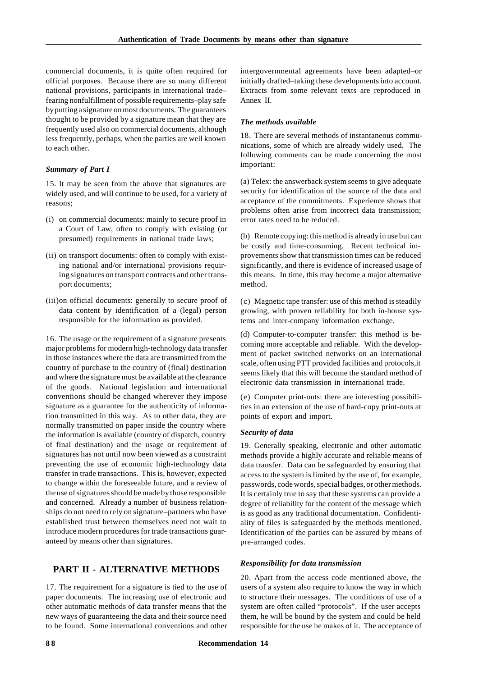commercial documents, it is quite often required for official purposes. Because there are so many different national provisions, participants in international trade– fearing nonfulfillment of possible requirements–play safe by putting a signature on most documents. The guarantees thought to be provided by a signature mean that they are frequently used also on commercial documents, although less frequently, perhaps, when the parties are well known to each other.

#### *Summary of Part I*

15. It may be seen from the above that signatures are widely used, and will continue to be used, for a variety of reasons;

- (i) on commercial documents: mainly to secure proof in a Court of Law, often to comply with existing (or presumed) requirements in national trade laws;
- (ii) on transport documents: often to comply with existing national and/or international provisions requiring signatures on transport contracts and other transport documents;
- (iii)on official documents: generally to secure proof of data content by identification of a (legal) person responsible for the information as provided.

16. The usage or the requirement of a signature presents major problems for modern high-technology data transfer in those instances where the data are transmitted from the country of purchase to the country of (final) destination and where the signature must be available at the clearance of the goods. National legislation and international conventions should be changed wherever they impose signature as a guarantee for the authenticity of information transmitted in this way. As to other data, they are normally transmitted on paper inside the country where the information is available (country of dispatch, country of final destination) and the usage or requirement of signatures has not until now been viewed as a constraint preventing the use of economic high-technology data transfer in trade transactions. This is, however, expected to change within the foreseeable future, and a review of the use of signatures should be made by those responsible and concerned. Already a number of business relationships do not need to rely on signature–partners who have established trust between themselves need not wait to introduce modern procedures for trade transactions guaranteed by means other than signatures.

### **PART II - ALTERNATIVE METHODS**

17. The requirement for a signature is tied to the use of paper documents. The increasing use of electronic and other automatic methods of data transfer means that the new ways of guaranteeing the data and their source need to be found. Some international conventions and other

intergovernmental agreements have been adapted–or initially drafted–taking these developments into account. Extracts from some relevant texts are reproduced in Annex II.

#### *The methods available*

18. There are several methods of instantaneous communications, some of which are already widely used. The following comments can be made concerning the most important:

(a) Telex: the answerback system seems to give adequate security for identification of the source of the data and acceptance of the commitments. Experience shows that problems often arise from incorrect data transmission; error rates need to be reduced.

(b) Remote copying: this method is already in use but can be costly and time-consuming. Recent technical improvements show that transmission times can be reduced significantly, and there is evidence of increased usage of this means. In time, this may become a major alternative method.

(c) Magnetic tape transfer: use of this method is steadily growing, with proven reliability for both in-house systems and inter-company information exchange.

(d) Computer-to-computer transfer: this method is becoming more acceptable and reliable. With the development of packet switched networks on an international scale, often using PTT provided facilities and protocols,it seems likely that this will become the standard method of electronic data transmission in international trade.

(e) Computer print-outs: there are interesting possibilities in an extension of the use of hard-copy print-outs at points of export and import.

#### *Security of data*

19. Generally speaking, electronic and other automatic methods provide a highly accurate and reliable means of data transfer. Data can be safeguarded by ensuring that access to the system is limited by the use of, for example, passwords, code words, special badges, or other methods. It is certainly true to say that these systems can provide a degree of reliability for the content of the message which is as good as any traditional documentation. Confidentiality of files is safeguarded by the methods mentioned. Identification of the parties can be assured by means of pre-arranged codes.

#### *Responsibility for data transmission*

20. Apart from the access code mentioned above, the users of a system also require to know the way in which to structure their messages. The conditions of use of a system are often called "protocols". If the user accepts them, he will be bound by the system and could be held responsible for the use he makes of it. The acceptance of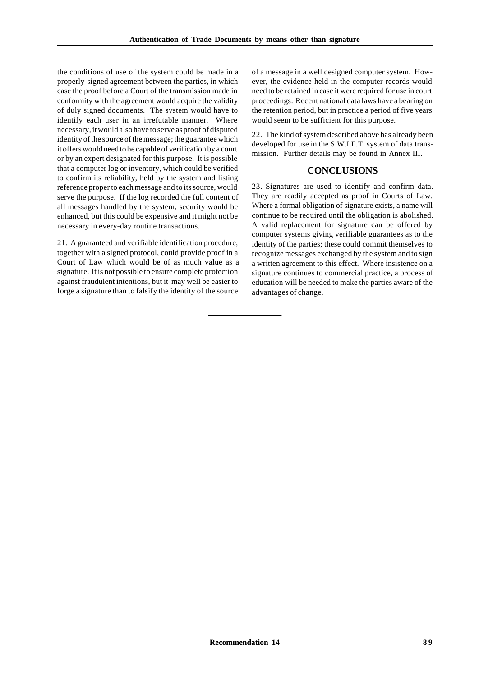the conditions of use of the system could be made in a properly-signed agreement between the parties, in which case the proof before a Court of the transmission made in conformity with the agreement would acquire the validity of duly signed documents. The system would have to identify each user in an irrefutable manner. Where necessary, it would also have to serve as proof of disputed identity of the source of the message; the guarantee which it offers would need to be capable of verification by a court or by an expert designated for this purpose. It is possible that a computer log or inventory, which could be verified to confirm its reliability, held by the system and listing reference proper to each message and to its source, would serve the purpose. If the log recorded the full content of all messages handled by the system, security would be enhanced, but this could be expensive and it might not be necessary in every-day routine transactions.

21. A guaranteed and verifiable identification procedure, together with a signed protocol, could provide proof in a Court of Law which would be of as much value as a signature. It is not possible to ensure complete protection against fraudulent intentions, but it may well be easier to forge a signature than to falsify the identity of the source

of a message in a well designed computer system. However, the evidence held in the computer records would need to be retained in case it were required for use in court proceedings. Recent national data laws have a bearing on the retention period, but in practice a period of five years would seem to be sufficient for this purpose.

22. The kind of system described above has already been developed for use in the S.W.I.F.T. system of data transmission. Further details may be found in Annex III.

# **CONCLUSIONS**

23. Signatures are used to identify and confirm data. They are readily accepted as proof in Courts of Law. Where a formal obligation of signature exists, a name will continue to be required until the obligation is abolished. A valid replacement for signature can be offered by computer systems giving verifiable guarantees as to the identity of the parties; these could commit themselves to recognize messages exchanged by the system and to sign a written agreement to this effect. Where insistence on a signature continues to commercial practice, a process of education will be needed to make the parties aware of the advantages of change.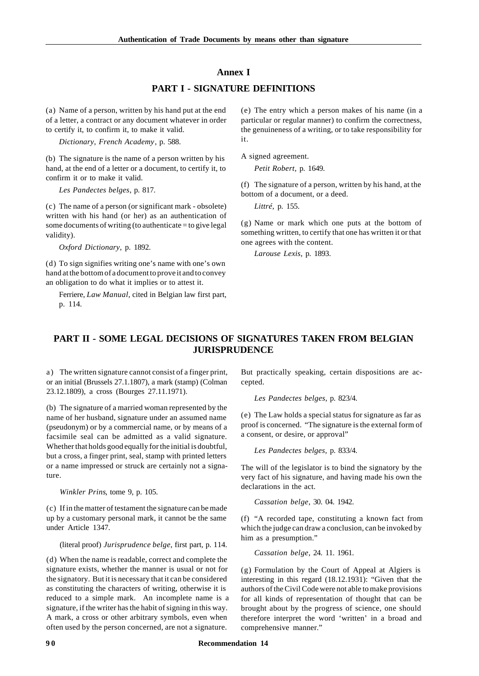#### **Annex I**

# **PART I - SIGNATURE DEFINITIONS**

(a) Name of a person, written by his hand put at the end of a letter, a contract or any document whatever in order to certify it, to confirm it, to make it valid.

*Dictionary, French Academy*, p. 588.

(b) The signature is the name of a person written by his hand, at the end of a letter or a document, to certify it, to confirm it or to make it valid.

*Les Pandectes belges*, p. 817.

(c) The name of a person (or significant mark - obsolete) written with his hand (or her) as an authentication of some documents of writing (to authenticate  $=$  to give legal validity).

*Oxford Dictionary*, p. 1892.

(d) To sign signifies writing one's name with one's own hand at the bottom of a document to prove it and to convey an obligation to do what it implies or to attest it.

Ferriere, *Law Manual*, cited in Belgian law first part, p. 114.

(e) The entry which a person makes of his name (in a particular or regular manner) to confirm the correctness, the genuineness of a writing, or to take responsibility for it.

A signed agreement.

*Petit Robert*, p. 1649.

(f) The signature of a person, written by his hand, at the bottom of a document, or a deed.

*Littré*, p. 155.

(g) Name or mark which one puts at the bottom of something written, to certify that one has written it or that one agrees with the content.

*Larouse Lexis*, p. 1893.

# **PART II - SOME LEGAL DECISIONS OF SIGNATURES TAKEN FROM BELGIAN JURISPRUDENCE**

a) The written signature cannot consist of a finger print, or an initial (Brussels 27.1.1807), a mark (stamp) (Colman 23.12.1809), a cross (Bourges 27.11.1971).

(b) The signature of a married woman represented by the name of her husband, signature under an assumed name (pseudonym) or by a commercial name, or by means of a facsimile seal can be admitted as a valid signature. Whether that holds good equally for the initial is doubtful, but a cross, a finger print, seal, stamp with printed letters or a name impressed or struck are certainly not a signature.

*Winkler Prins*, tome 9, p. 105.

(c) If in the matter of testament the signature can be made up by a customary personal mark, it cannot be the same under Article 1347.

(literal proof) *Jurisprudence belge*, first part, p. 114.

(d) When the name is readable, correct and complete the signature exists, whether the manner is usual or not for the signatory. But it is necessary that it can be considered as constituting the characters of writing, otherwise it is reduced to a simple mark. An incomplete name is a signature, if the writer has the habit of signing in this way. A mark, a cross or other arbitrary symbols, even when often used by the person concerned, are not a signature.

But practically speaking, certain dispositions are accepted.

*Les Pandectes belges*, p. 823/4.

(e) The Law holds a special status for signature as far as proof is concerned. "The signature is the external form of a consent, or desire, or approval"

*Les Pandectes belges,* p. 833/4.

The will of the legislator is to bind the signatory by the very fact of his signature, and having made his own the declarations in the act.

*Cassation belge*, 30. 04. 1942.

(f) "A recorded tape, constituting a known fact from which the judge can draw a conclusion, can be invoked by him as a presumption."

*Cassation belge*, 24. 11. 1961.

(g) Formulation by the Court of Appeal at Algiers is interesting in this regard (18.12.1931): "Given that the authors of the Civil Code were not able to make provisions for all kinds of representation of thought that can be brought about by the progress of science, one should therefore interpret the word 'written' in a broad and comprehensive manner."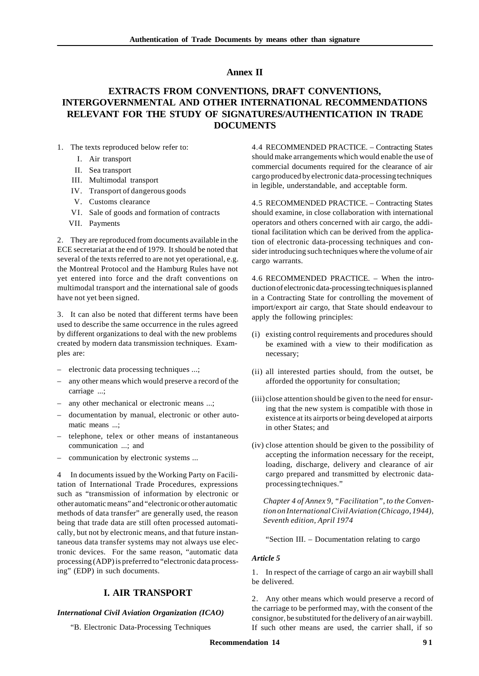# **Annex II**

# **EXTRACTS FROM CONVENTIONS, DRAFT CONVENTIONS, INTERGOVERNMENTAL AND OTHER INTERNATIONAL RECOMMENDATIONS RELEVANT FOR THE STUDY OF SIGNATURES/AUTHENTICATION IN TRADE DOCUMENTS**

- 1. The texts reproduced below refer to:
	- I. Air transport
	- II. Sea transport
	- III. Multimodal transport
	- IV. Transport of dangerous goods
	- V. Customs clearance
	- VI. Sale of goods and formation of contracts
	- VII. Payments

2. They are reproduced from documents available in the ECE secretariat at the end of 1979. It should be noted that several of the texts referred to are not yet operational, e.g. the Montreal Protocol and the Hamburg Rules have not yet entered into force and the draft conventions on multimodal transport and the international sale of goods have not yet been signed.

3. It can also be noted that different terms have been used to describe the same occurrence in the rules agreed by different organizations to deal with the new problems created by modern data transmission techniques. Examples are:

- electronic data processing techniques ...;
- any other means which would preserve a record of the carriage ...;
- any other mechanical or electronic means ...;
- documentation by manual, electronic or other automatic means ...;
- telephone, telex or other means of instantaneous communication ...; and
- communication by electronic systems ...

4 In documents issued by the Working Party on Facilitation of International Trade Procedures, expressions such as "transmission of information by electronic or other automatic means" and "electronic or other automatic methods of data transfer" are generally used, the reason being that trade data are still often processed automatically, but not by electronic means, and that future instantaneous data transfer systems may not always use electronic devices. For the same reason, "automatic data processing (ADP) is preferred to "electronic data processing" (EDP) in such documents.

# **I. AIR TRANSPORT**

#### *International Civil Aviation Organization (ICAO)*

"B. Electronic Data-Processing Techniques

4.4 RECOMMENDED PRACTICE. – Contracting States should make arrangements which would enable the use of commercial documents required for the clearance of air cargo produced by electronic data-processing techniques in legible, understandable, and acceptable form.

4.5 RECOMMENDED PRACTICE. – Contracting States should examine, in close collaboration with international operators and others concerned with air cargo, the additional facilitation which can be derived from the application of electronic data-processing techniques and consider introducing such techniques where the volume of air cargo warrants.

4.6 RECOMMENDED PRACTICE. – When the introduction of electronic data-processing techniques is planned in a Contracting State for controlling the movement of import/export air cargo, that State should endeavour to apply the following principles:

- (i) existing control requirements and procedures should be examined with a view to their modification as necessary;
- (ii) all interested parties should, from the outset, be afforded the opportunity for consultation;
- (iii) close attention should be given to the need for ensuring that the new system is compatible with those in existence at its airports or being developed at airports in other States; and
- (iv) close attention should be given to the possibility of accepting the information necessary for the receipt, loading, discharge, delivery and clearance of air cargo prepared and transmitted by electronic dataprocessing techniques."

*Chapter 4 of Annex 9, "Facilitation", to the Convention on International Civil Aviation (Chicago, 1944), Seventh edition, April 1974*

"Section III. – Documentation relating to cargo

#### *Article 5*

1. In respect of the carriage of cargo an air waybill shall be delivered.

2. Any other means which would preserve a record of the carriage to be performed may, with the consent of the consignor, be substituted for the delivery of an air waybill. If such other means are used, the carrier shall, if so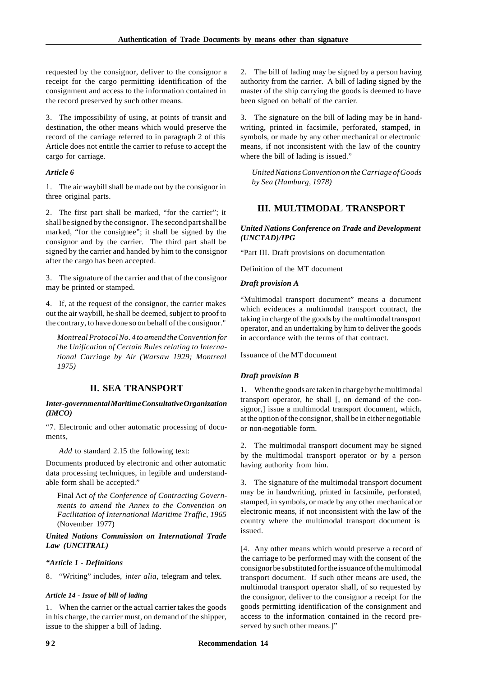requested by the consignor, deliver to the consignor a receipt for the cargo permitting identification of the consignment and access to the information contained in the record preserved by such other means.

3. The impossibility of using, at points of transit and destination, the other means which would preserve the record of the carriage referred to in paragraph 2 of this Article does not entitle the carrier to refuse to accept the cargo for carriage.

### *Article 6*

1. The air waybill shall be made out by the consignor in three original parts.

2. The first part shall be marked, "for the carrier"; it shall be signed by the consignor. The second part shall be marked, "for the consignee"; it shall be signed by the consignor and by the carrier. The third part shall be signed by the carrier and handed by him to the consignor after the cargo has been accepted.

3. The signature of the carrier and that of the consignor may be printed or stamped.

4. If, at the request of the consignor, the carrier makes out the air waybill, he shall be deemed, subject to proof to the contrary, to have done so on behalf of the consignor."

*Montreal Protocol No. 4 to amend the Convention for the Unification of Certain Rules relating to International Carriage by Air (Warsaw 1929; Montreal 1975)*

# **II. SEA TRANSPORT**

#### *Inter-governmental Maritime Consultative Organization (IMCO)*

"7. Electronic and other automatic processing of documents,

*Add* to standard 2.15 the following text:

Documents produced by electronic and other automatic data processing techniques, in legible and understandable form shall be accepted."

Final Act *of the Conference of Contracting Governments to amend the Annex to the Convention on Facilitation of International Maritime Traffic, 1965* (November 1977)

#### *United Nations Commission on International Trade Law (UNCITRAL)*

#### *"Article 1 - Definitions*

8. "Writing" includes, *inter alia*, telegram and telex.

#### *Article 14 - Issue of bill of lading*

1. When the carrier or the actual carrier takes the goods in his charge, the carrier must, on demand of the shipper, issue to the shipper a bill of lading.

2. The bill of lading may be signed by a person having authority from the carrier. A bill of lading signed by the master of the ship carrying the goods is deemed to have been signed on behalf of the carrier.

3. The signature on the bill of lading may be in handwriting, printed in facsimile, perforated, stamped, in symbols, or made by any other mechanical or electronic means, if not inconsistent with the law of the country where the bill of lading is issued."

*United Nations Convention on the Carriage of Goods by Sea (Hamburg, 1978)*

# **III. MULTIMODAL TRANSPORT**

## *United Nations Conference on Trade and Development (UNCTAD)/IPG*

"Part III. Draft provisions on documentation

Definition of the MT document

#### *Draft provision A*

"Multimodal transport document" means a document which evidences a multimodal transport contract, the taking in charge of the goods by the multimodal transport operator, and an undertaking by him to deliver the goods in accordance with the terms of that contract.

Issuance of the MT document

#### *Draft provision B*

1. When the goods are taken in charge by the multimodal transport operator, he shall [, on demand of the consignor,] issue a multimodal transport document, which, at the option of the consignor, shall be in either negotiable or non-negotiable form.

2. The multimodal transport document may be signed by the multimodal transport operator or by a person having authority from him.

3. The signature of the multimodal transport document may be in handwriting, printed in facsimile, perforated, stamped, in symbols, or made by any other mechanical or electronic means, if not inconsistent with the law of the country where the multimodal transport document is issued.

[4. Any other means which would preserve a record of the carriage to be performed may with the consent of the consignor be substituted for the issuance of the multimodal transport document. If such other means are used, the multimodal transport operator shall, of so requested by the consignor, deliver to the consignor a receipt for the goods permitting identification of the consignment and access to the information contained in the record preserved by such other means.]"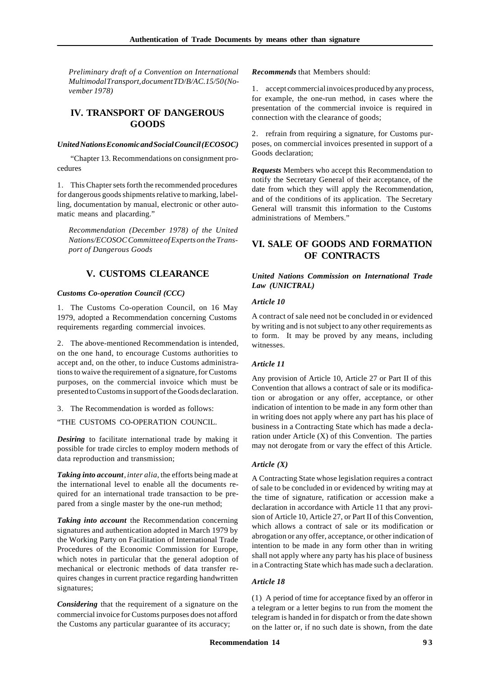*Preliminary draft of a Convention on International Multimodal Transport, document TD/B/AC.15/50 (November 1978)*

# **IV. TRANSPORT OF DANGEROUS GOODS**

#### *United Nations Economic and Social Council (ECOSOC)*

"Chapter 13. Recommendations on consignment procedures

1. This Chapter sets forth the recommended procedures for dangerous goods shipments relative to marking, labelling, documentation by manual, electronic or other automatic means and placarding."

*Recommendation (December 1978) of the United Nations/ECOSOC Committee of Experts on the Transport of Dangerous Goods*

# **V. CUSTOMS CLEARANCE**

## *Customs Co-operation Council (CCC)*

1. The Customs Co-operation Council, on 16 May 1979, adopted a Recommendation concerning Customs requirements regarding commercial invoices.

2. The above-mentioned Recommendation is intended, on the one hand, to encourage Customs authorities to accept and, on the other, to induce Customs administrations to waive the requirement of a signature, for Customs purposes, on the commercial invoice which must be presented to Customs in support of the Goods declaration.

3. The Recommendation is worded as follows:

"THE CUSTOMS CO-OPERATION COUNCIL.

*Desiring* to facilitate international trade by making it possible for trade circles to employ modern methods of data reproduction and transmission;

*Taking into account*, *inter alia*, the efforts being made at the international level to enable all the documents required for an international trade transaction to be prepared from a single master by the one-run method;

*Taking into account* the Recommendation concerning signatures and authentication adopted in March 1979 by the Working Party on Facilitation of International Trade Procedures of the Economic Commission for Europe, which notes in particular that the general adoption of mechanical or electronic methods of data transfer requires changes in current practice regarding handwritten signatures;

*Considering* that the requirement of a signature on the commercial invoice for Customs purposes does not afford the Customs any particular guarantee of its accuracy;

*Recommends* that Members should:

1. accept commercial invoices produced by any process, for example, the one-run method, in cases where the presentation of the commercial invoice is required in connection with the clearance of goods;

2. refrain from requiring a signature, for Customs purposes, on commercial invoices presented in support of a Goods declaration;

*Requests* Members who accept this Recommendation to notify the Secretary General of their acceptance, of the date from which they will apply the Recommendation, and of the conditions of its application. The Secretary General will transmit this information to the Customs administrations of Members."

# **VI. SALE OF GOODS AND FORMATION OF CONTRACTS**

## *United Nations Commission on International Trade Law (UNICTRAL)*

## *Article 10*

A contract of sale need not be concluded in or evidenced by writing and is not subject to any other requirements as to form. It may be proved by any means, including witnesses.

# *Article 11*

Any provision of Article 10, Article 27 or Part II of this Convention that allows a contract of sale or its modification or abrogation or any offer, acceptance, or other indication of intention to be made in any form other than in writing does not apply where any part has his place of business in a Contracting State which has made a declaration under Article (X) of this Convention. The parties may not derogate from or vary the effect of this Article.

# *Article (X)*

A Contracting State whose legislation requires a contract of sale to be concluded in or evidenced by writing may at the time of signature, ratification or accession make a declaration in accordance with Article 11 that any provision of Article 10, Article 27, or Part II of this Convention, which allows a contract of sale or its modification or abrogation or any offer, acceptance, or other indication of intention to be made in any form other than in writing shall not apply where any party has his place of business in a Contracting State which has made such a declaration.

### *Article 18*

(1) A period of time for acceptance fixed by an offeror in a telegram or a letter begins to run from the moment the telegram is handed in for dispatch or from the date shown on the latter or, if no such date is shown, from the date